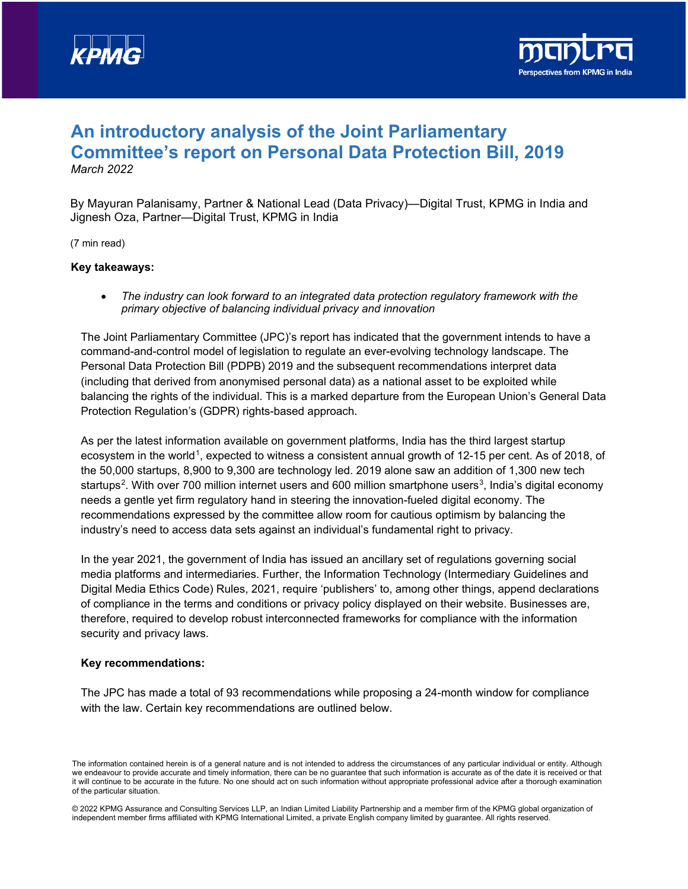



# **An introductory analysis of the Joint Parliamentary Committee's report on Personal Data Protection Bill, 2019** *March 2022*

By Mayuran Palanisamy, Partner & National Lead (Data Privacy)—Digital Trust, KPMG in India and Jignesh Oza, Partner—Digital Trust, KPMG in India

(7 min read)

#### **Key takeaways:**

• *The industry can look forward to an integrated data protection regulatory framework with the primary objective of balancing individual privacy and innovation*

The Joint Parliamentary Committee (JPC)'s report has indicated that the government intends to have a command-and-control model of legislation to regulate an ever-evolving technology landscape. The Personal Data Protection Bill (PDPB) 2019 and the subsequent recommendations interpret data (including that derived from anonymised personal data) as a national asset to be exploited while balancing the rights of the individual. This is a marked departure from the European Union's General Data Protection Regulation's (GDPR) rights-based approach.

As per the latest information available on government platforms, India has the third largest startup ecosystem in the world<sup>1</sup>, expected to witness a consistent annual growth of 12-15 per cent. As of 2018, of the 50,000 startups, 8,900 to 9,300 are technology led. 2019 alone saw an addition of 1,300 new tech startups<sup>2</sup>. With over 700 million internet users and 600 million smartphone users<sup>[3](#page-2-2)</sup>, India's digital economy needs a gentle yet firm regulatory hand in steering the innovation-fueled digital economy. The recommendations expressed by the committee allow room for cautious optimism by balancing the industry's need to access data sets against an individual's fundamental right to privacy.

In the year 2021, the government of India has issued an ancillary set of regulations governing social media platforms and intermediaries. Further, the Information Technology (Intermediary Guidelines and Digital Media Ethics Code) Rules, 2021, require 'publishers' to, among other things, append declarations of compliance in the terms and conditions or privacy policy displayed on their website. Businesses are, therefore, required to develop robust interconnected frameworks for compliance with the information security and privacy laws.

#### **Key recommendations:**

The JPC has made a total of 93 recommendations while proposing a 24-month window for compliance with the law. Certain key recommendations are outlined below.

The information contained herein is of a general nature and is not intended to address the circumstances of any particular individual or entity. Although we endeavour to provide accurate and timely information, there can be no guarantee that such information is accurate as of the date it is received or that it will continue to be accurate in the future. No one should act on such information without appropriate professional advice after a thorough examination of the particular situation.

<sup>© 2022</sup> KPMG Assurance and Consulting Services LLP, an Indian Limited Liability Partnership and a member firm of the KPMG global organization of independent member firms affiliated with KPMG International Limited, a private English company limited by guarantee. All rights reserved.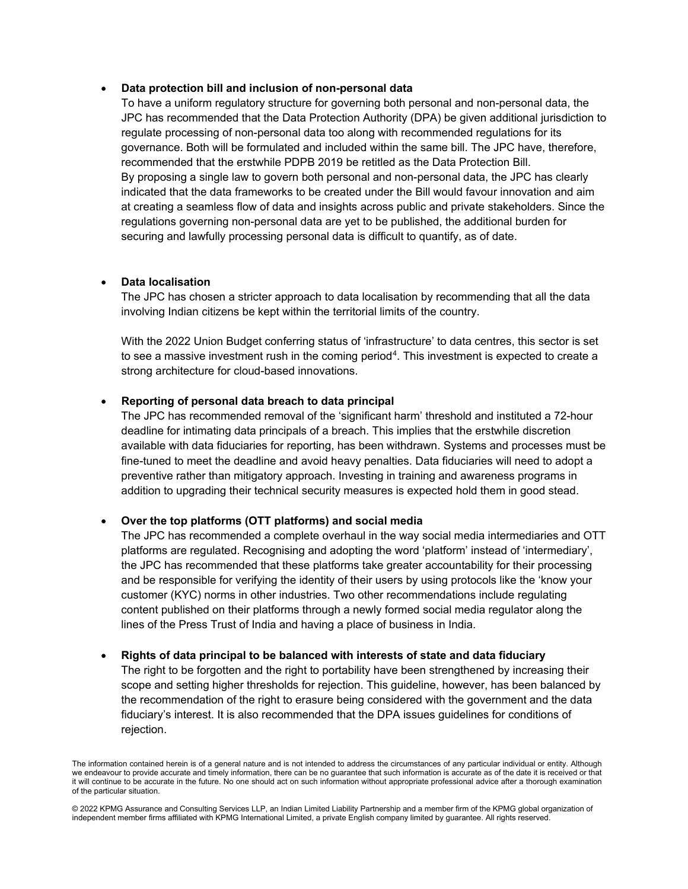#### • **Data protection bill and inclusion of non-personal data**

To have a uniform regulatory structure for governing both personal and non-personal data, the JPC has recommended that the Data Protection Authority (DPA) be given additional jurisdiction to regulate processing of non-personal data too along with recommended regulations for its governance. Both will be formulated and included within the same bill. The JPC have, therefore, recommended that the erstwhile PDPB 2019 be retitled as the Data Protection Bill. By proposing a single law to govern both personal and non-personal data, the JPC has clearly indicated that the data frameworks to be created under the Bill would favour innovation and aim at creating a seamless flow of data and insights across public and private stakeholders. Since the regulations governing non-personal data are yet to be published, the additional burden for securing and lawfully processing personal data is difficult to quantify, as of date.

# • **Data localisation**

The JPC has chosen a stricter approach to data localisation by recommending that all the data involving Indian citizens be kept within the territorial limits of the country.

With the 2022 Union Budget conferring status of 'infrastructure' to data centres, this sector is set to see a massive investment rush in the coming period<sup>[4](#page-3-0)</sup>. This investment is expected to create a strong architecture for cloud-based innovations.

# • **Reporting of personal data breach to data principal**

The JPC has recommended removal of the 'significant harm' threshold and instituted a 72-hour deadline for intimating data principals of a breach. This implies that the erstwhile discretion available with data fiduciaries for reporting, has been withdrawn. Systems and processes must be fine-tuned to meet the deadline and avoid heavy penalties. Data fiduciaries will need to adopt a preventive rather than mitigatory approach. Investing in training and awareness programs in addition to upgrading their technical security measures is expected hold them in good stead.

#### • **Over the top platforms (OTT platforms) and social media**

The JPC has recommended a complete overhaul in the way social media intermediaries and OTT platforms are regulated. Recognising and adopting the word 'platform' instead of 'intermediary', the JPC has recommended that these platforms take greater accountability for their processing and be responsible for verifying the identity of their users by using protocols like the 'know your customer (KYC) norms in other industries. Two other recommendations include regulating content published on their platforms through a newly formed social media regulator along the lines of the Press Trust of India and having a place of business in India.

#### • **Rights of data principal to be balanced with interests of state and data fiduciary**

The right to be forgotten and the right to portability have been strengthened by increasing their scope and setting higher thresholds for rejection. This guideline, however, has been balanced by the recommendation of the right to erasure being considered with the government and the data fiduciary's interest. It is also recommended that the DPA issues guidelines for conditions of rejection.

The information contained herein is of a general nature and is not intended to address the circumstances of any particular individual or entity. Although we endeavour to provide accurate and timely information, there can be no guarantee that such information is accurate as of the date it is received or that it will continue to be accurate in the future. No one should act on such information without appropriate professional advice after a thorough examination of the particular situation.

<sup>© 2022</sup> KPMG Assurance and Consulting Services LLP, an Indian Limited Liability Partnership and a member firm of the KPMG global organization of independent member firms affiliated with KPMG International Limited, a private English company limited by guarantee. All rights reserved.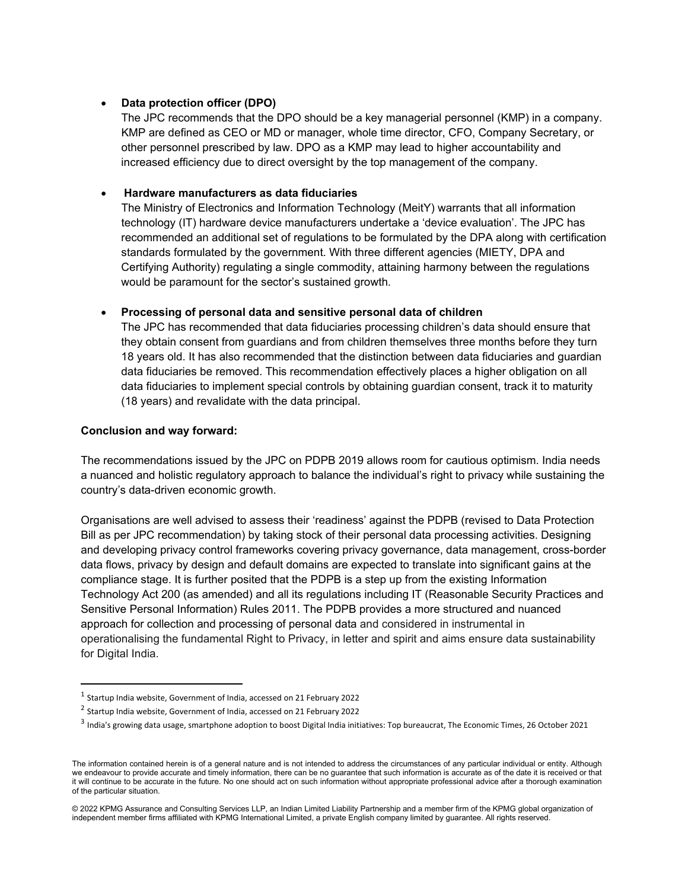# • **Data protection officer (DPO)**

The JPC recommends that the DPO should be a key managerial personnel (KMP) in a company. KMP are defined as CEO or MD or manager, whole time director, CFO, Company Secretary, or other personnel prescribed by law. DPO as a KMP may lead to higher accountability and increased efficiency due to direct oversight by the top management of the company.

# • **Hardware manufacturers as data fiduciaries**

The Ministry of Electronics and Information Technology (MeitY) warrants that all information technology (IT) hardware device manufacturers undertake a 'device evaluation'. The JPC has recommended an additional set of regulations to be formulated by the DPA along with certification standards formulated by the government. With three different agencies (MIETY, DPA and Certifying Authority) regulating a single commodity, attaining harmony between the regulations would be paramount for the sector's sustained growth.

# • **Processing of personal data and sensitive personal data of children**

The JPC has recommended that data fiduciaries processing children's data should ensure that they obtain consent from guardians and from children themselves three months before they turn 18 years old. It has also recommended that the distinction between data fiduciaries and guardian data fiduciaries be removed. This recommendation effectively places a higher obligation on all data fiduciaries to implement special controls by obtaining guardian consent, track it to maturity (18 years) and revalidate with the data principal.

# **Conclusion and way forward:**

The recommendations issued by the JPC on PDPB 2019 allows room for cautious optimism. India needs a nuanced and holistic regulatory approach to balance the individual's right to privacy while sustaining the country's data-driven economic growth.

Organisations are well advised to assess their 'readiness' against the PDPB (revised to Data Protection Bill as per JPC recommendation) by taking stock of their personal data processing activities. Designing and developing privacy control frameworks covering privacy governance, data management, cross-border data flows, privacy by design and default domains are expected to translate into significant gains at the compliance stage. It is further posited that the PDPB is a step up from the existing Information Technology Act 200 (as amended) and all its regulations including IT (Reasonable Security Practices and Sensitive Personal Information) Rules 2011. The PDPB provides a more structured and nuanced approach for collection and processing of personal data and considered in instrumental in operationalising the fundamental Right to Privacy, in letter and spirit and aims ensure data sustainability for Digital India.

<span id="page-2-0"></span><sup>1</sup> Startup India website, Government of India, accessed on 21 February 2022

<span id="page-2-1"></span><sup>2</sup> Startup India website, Government of India, accessed on 21 February 2022

<span id="page-2-2"></span><sup>3</sup> India's growing data usage, smartphone adoption to boost Digital India initiatives: Top bureaucrat, The Economic Times, 26 October 2021

The information contained herein is of a general nature and is not intended to address the circumstances of any particular individual or entity. Although we endeavour to provide accurate and timely information, there can be no guarantee that such information is accurate as of the date it is received or that it will continue to be accurate in the future. No one should act on such information without appropriate professional advice after a thorough examination of the particular situation.

<sup>© 2022</sup> KPMG Assurance and Consulting Services LLP, an Indian Limited Liability Partnership and a member firm of the KPMG global organization of independent member firms affiliated with KPMG International Limited, a private English company limited by guarantee. All rights reserved.